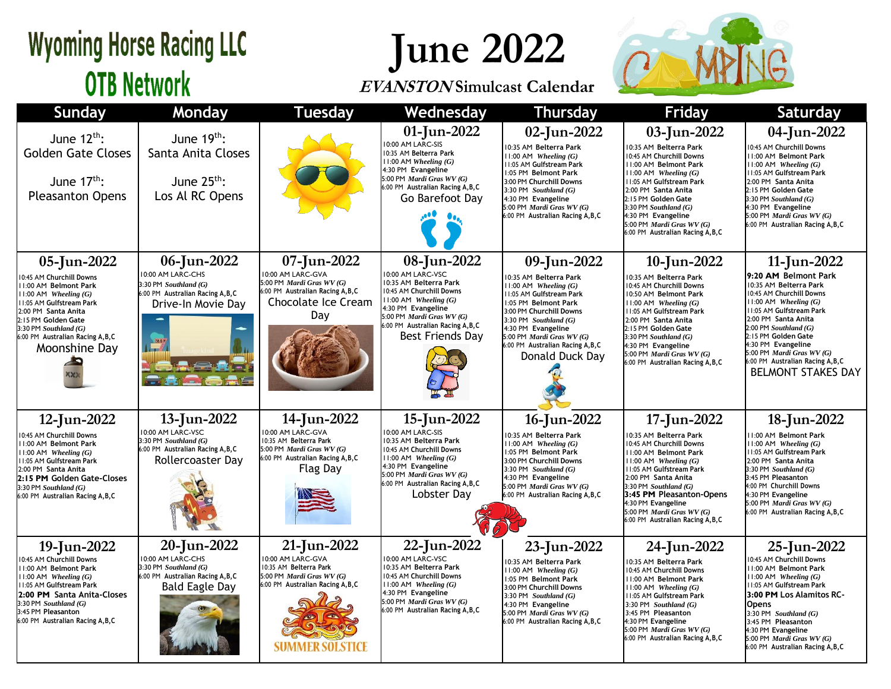### **Wyoming Horse Racing LLC OTB Network**

# **June 2022**

#### **EVANSTON Simulcast Calendar**



| Sunday                                                                                                                                                                                                                                                 | Monday                                                                                                                  | <b>Tuesday</b>                                                                                                                           | Wednesday                                                                                                                                                                                                                       | <b>Thursday</b>                                                                                                                                                                                                                                                                         | <b>Friday</b>                                                                                                                                                                                                                                                                                                          | Saturday                                                                                                                                                                                                                                                                                                                                                  |
|--------------------------------------------------------------------------------------------------------------------------------------------------------------------------------------------------------------------------------------------------------|-------------------------------------------------------------------------------------------------------------------------|------------------------------------------------------------------------------------------------------------------------------------------|---------------------------------------------------------------------------------------------------------------------------------------------------------------------------------------------------------------------------------|-----------------------------------------------------------------------------------------------------------------------------------------------------------------------------------------------------------------------------------------------------------------------------------------|------------------------------------------------------------------------------------------------------------------------------------------------------------------------------------------------------------------------------------------------------------------------------------------------------------------------|-----------------------------------------------------------------------------------------------------------------------------------------------------------------------------------------------------------------------------------------------------------------------------------------------------------------------------------------------------------|
| June $12^{th}$ :<br><b>Golden Gate Closes</b><br>June $17th$ :<br><b>Pleasanton Opens</b>                                                                                                                                                              | June $19th$ :<br>Santa Anita Closes<br>June $25^{th}$ :<br>Los Al RC Opens                                              |                                                                                                                                          | 01-Jun-2022<br>10:00 AM LARC-SIS<br>10:35 AM Belterra Park<br>$11:00$ AM Wheeling $(G)$<br>4:30 PM Evangeline<br>5:00 PM Mardi Gras WV (G)<br>6:00 PM Australian Racing A, B, C<br>Go Barefoot Day                              | 02-Jun-2022<br>0:35 AM Belterra Park<br>$11:00$ AM Wheeling $(G)$<br>11:05 AM Gulfstream Park<br>1:05 PM Belmont Park<br>3:00 PM Churchill Downs<br>3:30 PM Southland $(G)$<br>4:30 PM Evangeline<br>5:00 PM Mardi Gras WV (G)<br>6:00 PM Australian Racing A, B, C                     | 03-Jun-2022<br>0:35 AM Belterra Park<br>10:45 AM Churchill Downs<br>11:00 AM Belmont Park<br>$11:00$ AM Wheeling $(G)$<br>11:05 AM Gulfstream Park<br>2:00 PM Santa Anita<br>2:15 PM Golden Gate<br>3:30 PM Southland (G)<br>4:30 PM Evangeline<br>5:00 PM Mardi Gras WV (G)<br>6:00 PM Australian Racing A, B, C      | 04-Jun-2022<br>10:45 AM Churchill Downs<br><b>II:00 AM Belmont Park</b><br>$11:00$ AM Wheeling $(G)$<br>11:05 AM Gulfstream Park<br>2:00 PM Santa Anita<br>2:15 PM Golden Gate<br>$3:30$ PM Southland $(G)$<br>4:30 PM Evangeline<br>5:00 PM Mardi Gras WV (G)<br>6:00 PM Australian Racing A, B, C                                                       |
| 05-Jun-2022<br>0:45 AM Churchill Downs<br>1:00 AM Belmont Park<br>$1:00$ AM Wheeling $(G)$<br>1:05 AM Gulfstream Park<br>2:00 PM Santa Anita<br>2:15 PM Golden Gate<br>$3:30$ PM Southland $(G)$<br>6:00 PM Australian Racing A, B, C<br>Moonshine Day | 06-Jun-2022<br>10:00 AM LARC-CHS<br>3:30 PM Southland (G)<br>6:00 PM Australian Racing A, B, C<br>Drive-In Movie Day    | 07-Jun-2022<br>10:00 AM LARC-GVA<br>5:00 PM Mardi Gras WV (G)<br>6:00 PM Australian Racing A, B, C<br>Chocolate Ice Cream<br>Day         | 08-Jun-2022<br>10:00 AM LARC-VSC<br>10:35 AM Belterra Park<br>10:45 AM Churchill Downs<br>$11:00$ AM Wheeling $(G)$<br>4:30 PM Evangeline<br>5:00 PM Mardi Gras WV (G)<br>6:00 PM Australian Racing A, B, C<br>Best Friends Day | 09-Jun-2022<br>10:35 AM Belterra Park<br>$11:00$ AM Wheeling $(G)$<br>11:05 AM Gulfstream Park<br>1:05 PM Belmont Park<br>3:00 PM Churchill Downs<br>3:30 PM Southland $(G)$<br>4:30 PM Evangeline<br>5:00 PM Mardi Gras WV (G)<br>6:00 PM Australian Racing A, B, C<br>Donald Duck Dav | 10-Jun-2022<br>0:35 AM Belterra Park<br>10:45 AM Churchill Downs<br>10:50 AM Belmont Park<br>$11:00$ AM Wheeling $(G)$<br>11:05 AM Gulfstream Park<br>2:00 PM Santa Anita<br>2:15 PM Golden Gate<br>3:30 PM Southland (G)<br>4:30 PM Evangeline<br>5:00 PM Mardi Gras WV (G)<br>:00 PM Australian Racing A, B, C       | 11-Jun-2022<br>9:20 AM Belmont Park<br>10:35 AM Belterra Park<br>10:45 AM Churchill Downs<br>$11:00$ AM Wheeling $(G)$<br><b>11:05 AM Gulfstream Park</b><br>2:00 PM Santa Anita<br>$2:00$ PM Southland $(G)$<br>2:15 PM Golden Gate<br>4:30 PM Evangeline<br>5:00 PM Mardi Gras WV (G)<br>6:00 PM Australian Racing A, B, C<br><b>BELMONT STAKES DAY</b> |
| 12-Jun-2022<br>0:45 AM Churchill Downs<br>11:00 AM Belmont Park<br>$1:00$ AM Wheeling $(G)$<br>11:05 AM Gulfstream Park<br>2:00 PM Santa Anita<br>2:15 PM Golden Gate-Closes<br>$3:30$ PM Southland $(G)$<br>6:00 PM Australian Racing A, B, C         | 13-Jun-2022<br>10:00 AM LARC-VSC<br>3:30 PM Southland (G)<br>6:00 PM Australian Racing A, B, C<br>Rollercoaster Day     | 14-Jun-2022<br>10:00 AM LARC-GVA<br>10:35 AM Belterra Park<br>5:00 PM Mardi Gras WV (G)<br>6:00 PM Australian Racing A, B, C<br>Flag Day | 15-Jun-2022<br>10:00 AM LARC-SIS<br>10:35 AM Belterra Park<br>10:45 AM Churchill Downs<br>$11:00$ AM Wheeling $(G)$<br>4:30 PM Evangeline<br>5:00 PM Mardi Gras WV (G)<br>6:00 PM Australian Racing A, B, C<br>Lobster Dav      | 16-Jun-2022<br>10:35 AM Belterra Park<br>$11:00$ AM Wheeling $(G)$<br>1:05 PM Belmont Park<br>3:00 PM Churchill Downs<br>3:30 PM Southland $(G)$<br>4:30 PM Evangeline<br>5:00 PM Mardi Gras WV (G)<br>6:00 PM Australian Racing A, B, C                                                | 17-Jun-2022<br>0:35 AM Belterra Park<br>10:45 AM Churchill Downs<br>11:00 AM Belmont Park<br>$11:00$ AM Wheeling $(G)$<br>11:05 AM Gulfstream Park<br>2:00 PM Santa Anita<br>3:30 PM Southland (G)<br>3:45 PM Pleasanton-Opens<br>4:30 PM Evangeline<br>5:00 PM Mardi Gras WV (G)<br>6:00 PM Australian Racing A, B, C | 18-Jun-2022<br>11:00 AM Belmont Park<br>$11:00$ AM Wheeling $(G)$<br>11:05 AM Gulfstream Park<br>2:00 PM Santa Anita<br>3:30 PM Southland (G)<br>3:45 PM Pleasanton<br>4:00 PM Churchill Downs<br>4:30 PM Evangeline<br>5:00 PM Mardi Gras WV (G)<br>6:00 PM Australian Racing A, B, C                                                                    |
| 19-Jun-2022<br>0:45 AM Churchill Downs<br>11:00 AM Belmont Park<br>$1:00$ AM Wheeling $(G)$<br>1:05 AM Gulfstream Park<br>2:00 PM Santa Anita-Closes<br>$3:30$ PM Southland $(G)$<br>3:45 PM Pleasanton<br>6:00 PM Australian Racing A, B, C           | 20-Jun-2022<br>10:00 AM LARC-CHS<br>3:30 PM Southland (G)<br>6:00 PM Australian Racing A, B, C<br><b>Bald Eagle Day</b> | 21-Jun-2022<br>10:00 AM LARC-GVA<br>10:35 AM Belterra Park<br>5:00 PM Mardi Gras WV (G)<br>6:00 PM Australian Racing A, B, C             | 22-Jun-2022<br>10:00 AM LARC-VSC<br>10:35 AM Belterra Park<br>10:45 AM Churchill Downs<br>$11:00$ AM Wheeling $(G)$<br>4:30 PM Evangeline<br>5:00 PM Mardi Gras WV (G)<br>6:00 PM Australian Racing A, B, C                     | 23-Jun-2022<br>10:35 AM Belterra Park<br>$11:00$ AM Wheeling $(G)$<br>1:05 PM Belmont Park<br>3:00 PM Churchill Downs<br>$3:30$ PM Southland $(G)$<br>4:30 PM Evangeline<br>5:00 PM Mardi Gras WV (G)<br>6:00 PM Australian Racing A, B, C                                              | 24-Jun-2022<br>10:35 AM Belterra Park<br>10:45 AM Churchill Downs<br><b>11:00 AM Belmont Park</b><br>$11:00$ AM Wheeling $(G)$<br>11:05 AM Gulfstream Park<br>$3:30$ PM Southland $(G)$<br>3:45 PM Pleasanton<br>4:30 PM Evangeline<br>5:00 PM Mardi Gras WV (G)<br>6:00 PM Australian Racing A, B, C                  | 25-Jun-2022<br>10:45 AM Churchill Downs<br>11:00 AM Belmont Park<br>$11:00$ AM Wheeling $(G)$<br>11:05 AM Gulfstream Park<br>3:00 PM Los Alamitos RC-<br><b>Opens</b><br>3:30 PM Southland $(G)$<br>3:45 PM Pleasanton<br>4:30 PM Evangeline<br>5:00 PM Mardi Gras WV (G)<br>6:00 PM Australian Racing A, B, C                                            |